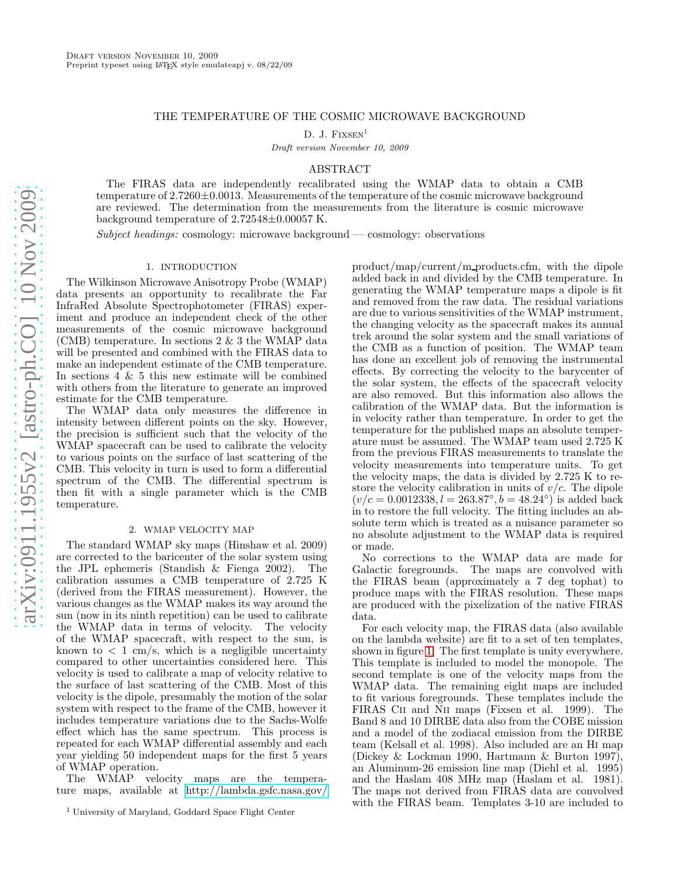# THE TEMPERATURE OF THE COSMIC MICROWAVE BACKGROUND

D. J.  $Fix$ SEN<sup>1</sup>

Draft version November 10, 2009

### ABSTRACT

The FIRAS data are independently recalibrated using the WMAP data to obtain a CMB temperature of  $2.7260\pm0.0013$ . Measurements of the temperature of the cosmic microwave background are reviewed. The determination from the measurements from the literature is cosmic microwave background temperature of 2.72548±0.00057 K.

Subject headings: cosmology: microwave background — cosmology: observations

#### 1. INTRODUCTION

The Wilkinson Microwave Anisotropy Probe (WMAP) data presents an opportunity to recalibrate the Far InfraRed Absolute Spectrophotometer (FIRAS) experiment and produce an independent check of the other measurements of the cosmic microwave background (CMB) temperature. In sections 2 & 3 the WMAP data will be presented and combined with the FIRAS data to make an independent estimate of the CMB temperature. In sections 4 & 5 this new estimate will be combined with others from the literature to generate an improved estimate for the CMB temperature.

The WMAP data only measures the difference in intensity between different points on the sky. However, the precision is sufficient such that the velocity of the WMAP spacecraft can be used to calibrate the velocity to various points on the surface of last scattering of the CMB. This velocity in turn is used to form a differential spectrum of the CMB. The differential spectrum is then fit with a single parameter which is the CMB temperature.

### 2. WMAP VELOCITY MAP

The standard WMAP sky maps (Hinshaw et al. 2009) are corrected to the baricenter of the solar system using the JPL ephemeris (Standish & Fienga 2002). The calibration assumes a CMB temperature of 2.725 K (derived from the FIRAS measurement). However, the various changes as the WMAP makes its way around the sun (now in its ninth repetition) can be used to calibrate the WMAP data in terms of velocity. The velocity of the WMAP spacecraft, with respect to the sun, is known to  $\langle 1 \text{ cm/s}, \text{ which is a negligible uncertainty}$ compared to other uncertainties considered here. This velocity is used to calibrate a map of velocity relative to the surface of last scattering of the CMB. Most of this velocity is the dipole, presumably the motion of the solar system with respect to the frame of the CMB, however it includes temperature variations due to the Sachs-Wolfe effect which has the same spectrum. This process is repeated for each WMAP differential assembly and each year yielding 50 independent maps for the first 5 years of WMAP operation.

The WMAP velocity maps are the temperature maps, available at<http://lambda.gsfc.nasa.gov/>

product/map/current/m products.cfm, with the dipole added back in and divided by the CMB temperature. In generating the WMAP temperature maps a dipole is fit and removed from the raw data. The residual variations are due to various sensitivities of the WMAP instrument, the changing velocity as the spacecraft makes its annual trek around the solar system and the small variations of the CMB as a function of position. The WMAP team has done an excellent job of removing the instrumental effects. By correcting the velocity to the barycenter of the solar system, the effects of the spacecraft velocity are also removed. But this information also allows the calibration of the WMAP data. But the information is in velocity rather than temperature. In order to get the temperature for the published maps an absolute temperature must be assumed. The WMAP team used 2.725 K from the previous FIRAS measurements to translate the velocity measurements into temperature units. To get the velocity maps, the data is divided by 2.725 K to restore the velocity calibration in units of  $v/c$ . The dipole  $(v/c = 0.0012338, l = 263.87°, b = 48.24°)$  is added back in to restore the full velocity. The fitting includes an absolute term which is treated as a nuisance parameter so no absolute adjustment to the WMAP data is required or made.

No corrections to the WMAP data are made for Galactic foregrounds. The maps are convolved with the FIRAS beam (approximately a 7 deg tophat) to produce maps with the FIRAS resolution. These maps are produced with the pixelization of the native FIRAS data.

For each velocity map, the FIRAS data (also available on the lambda website) are fit to a set of ten templates, shown in figure [1.](#page-1-0) The first template is unity everywhere. This template is included to model the monopole. The second template is one of the velocity maps from the WMAP data. The remaining eight maps are included to fit various foregrounds. These templates include the FIRAS Cii and Nii maps (Fixsen et al. 1999). The Band 8 and 10 DIRBE data also from the COBE mission and a model of the zodiacal emission from the DIRBE team (Kelsall et al. 1998). Also included are an Hi map (Dickey & Lockman 1990, Hartmann & Burton 1997), an Aluminum-26 emission line map (Diehl et al. 1995) and the Haslam 408 MHz map (Haslam et al. 1981). The maps not derived from FIRAS data are convolved with the FIRAS beam. Templates 3-10 are included to

<sup>1</sup> University of Maryland, Goddard Space Flight Center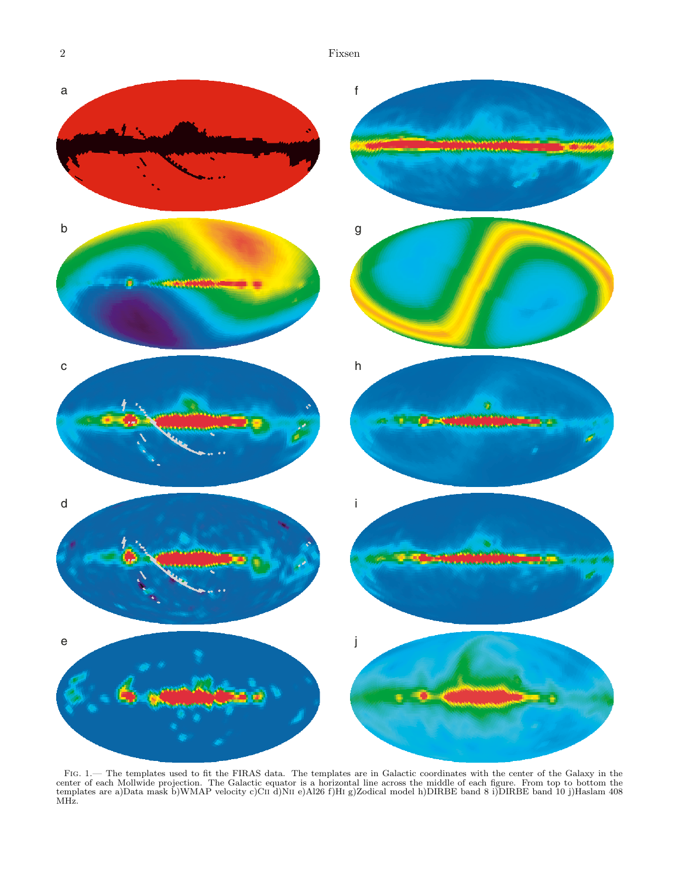2 Fixsen



<span id="page-1-0"></span>Fig. 1.— The templates used to fit the FIRAS data. The templates are in Galactic coordinates with the center of the Galaxy in the center of each Mollwide projection. The Galactic equator is a horizontal line across the middle of each figure. From top to bottom the<br>templates are a)Data mask b)WMAP velocity c)CII d)NII e)Al26 f)HI g)Zodical model h)DIR MHz.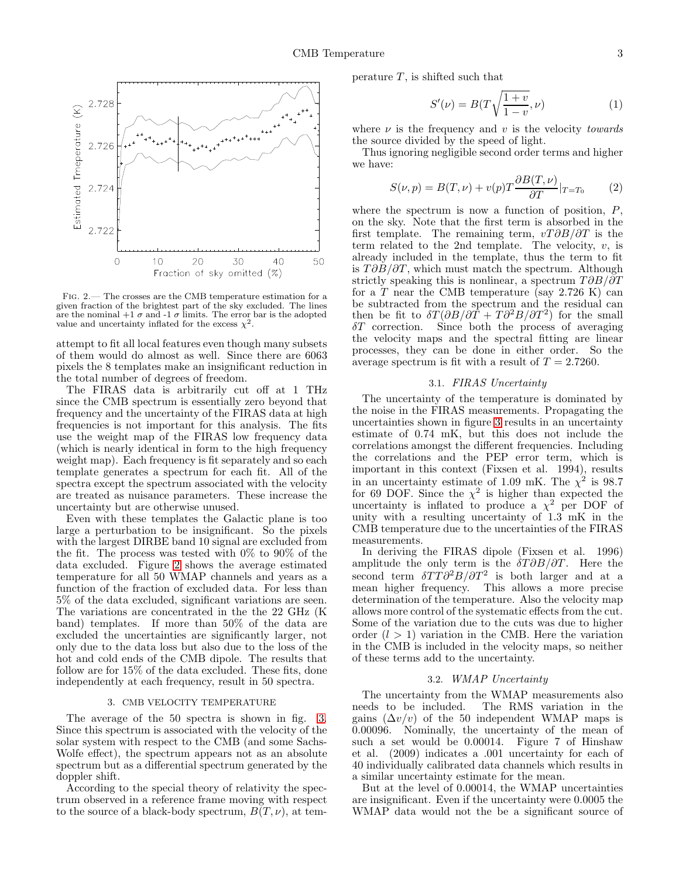

<span id="page-2-0"></span>FIG. 2.— The crosses are the CMB temperature estimation for a given fraction of the brightest part of the sky excluded. The lines are the nominal  $+1\sigma$  and  $-1\sigma$  limits. The error bar is the adopted value and uncertainty inflated for the excess  $\chi^2$ .

attempt to fit all local features even though many subsets of them would do almost as well. Since there are 6063 pixels the 8 templates make an insignificant reduction in the total number of degrees of freedom.

The FIRAS data is arbitrarily cut off at 1 THz since the CMB spectrum is essentially zero beyond that frequency and the uncertainty of the FIRAS data at high frequencies is not important for this analysis. The fits use the weight map of the FIRAS low frequency data (which is nearly identical in form to the high frequency weight map). Each frequency is fit separately and so each template generates a spectrum for each fit. All of the spectra except the spectrum associated with the velocity are treated as nuisance parameters. These increase the uncertainty but are otherwise unused.

Even with these templates the Galactic plane is too large a perturbation to be insignificant. So the pixels with the largest DIRBE band 10 signal are excluded from the fit. The process was tested with 0% to 90% of the data excluded. Figure [2](#page-2-0) shows the average estimated temperature for all 50 WMAP channels and years as a function of the fraction of excluded data. For less than 5% of the data excluded, significant variations are seen. The variations are concentrated in the the 22 GHz (K band) templates. If more than 50% of the data are excluded the uncertainties are significantly larger, not only due to the data loss but also due to the loss of the hot and cold ends of the CMB dipole. The results that follow are for 15% of the data excluded. These fits, done independently at each frequency, result in 50 spectra.

### 3. CMB VELOCITY TEMPERATURE

The average of the 50 spectra is shown in fig. [3.](#page-3-0) Since this spectrum is associated with the velocity of the solar system with respect to the CMB (and some Sachs-Wolfe effect), the spectrum appears not as an absolute spectrum but as a differential spectrum generated by the doppler shift.

According to the special theory of relativity the spectrum observed in a reference frame moving with respect to the source of a black-body spectrum,  $B(T, \nu)$ , at temperature  $T$ , is shifted such that

$$
S'(\nu) = B(T\sqrt{\frac{1+v}{1-v}}, \nu) \tag{1}
$$

where  $\nu$  is the frequency and  $\nu$  is the velocity *towards* the source divided by the speed of light.

Thus ignoring negligible second order terms and higher we have:

$$
S(\nu, p) = B(T, \nu) + v(p)T \frac{\partial B(T, \nu)}{\partial T}|_{T=T_0}
$$
 (2)

where the spectrum is now a function of position,  $P$ , on the sky. Note that the first term is absorbed in the first template. The remaining term,  $vT\partial B/\partial T$  is the term related to the 2nd template. The velocity,  $v$ , is already included in the template, thus the term to fit is  $T\partial B/\partial T$ , which must match the spectrum. Although strictly speaking this is nonlinear, a spectrum  $T \partial B / \partial T$ for a  $T$  near the CMB temperature (say 2.726 K) can be subtracted from the spectrum and the residual can then be fit to  $\delta T(\partial B/\partial \bar{T} + T\partial^2 B/\partial T^2)$  for the small  $\delta T$  correction. Since both the process of averaging the velocity maps and the spectral fitting are linear processes, they can be done in either order. So the average spectrum is fit with a result of  $T = 2.7260$ .

#### 3.1. FIRAS Uncertainty

The uncertainty of the temperature is dominated by the noise in the FIRAS measurements. Propagating the uncertainties shown in figure [3](#page-3-0) results in an uncertainty estimate of 0.74 mK, but this does not include the correlations amongst the different frequencies. Including the correlations and the PEP error term, which is important in this context (Fixsen et al. 1994), results in an uncertainty estimate of 1.09 mK. The  $\chi^2$  is 98.7 for 69 DOF. Since the  $\chi^2$  is higher than expected the uncertainty is inflated to produce a  $\chi^2$  per DOF of unity with a resulting uncertainty of 1.3 mK in the CMB temperature due to the uncertainties of the FIRAS measurements.

In deriving the FIRAS dipole (Fixsen et al. 1996) amplitude the only term is the  $\delta T \partial B/\partial T$ . Here the second term  $\delta TT \partial^2 B/\partial T^2$  is both larger and at a mean higher frequency. This allows a more precise determination of the temperature. Also the velocity map allows more control of the systematic effects from the cut. Some of the variation due to the cuts was due to higher order  $(l > 1)$  variation in the CMB. Here the variation in the CMB is included in the velocity maps, so neither of these terms add to the uncertainty.

#### 3.2. WMAP Uncertainty

The uncertainty from the WMAP measurements also needs to be included. The RMS variation in the The RMS variation in the gains  $(\Delta v/v)$  of the 50 independent WMAP maps is 0.00096. Nominally, the uncertainty of the mean of such a set would be 0.00014. Figure 7 of Hinshaw et al. (2009) indicates a .001 uncertainty for each of 40 individually calibrated data channels which results in a similar uncertainty estimate for the mean.

But at the level of 0.00014, the WMAP uncertainties are insignificant. Even if the uncertainty were 0.0005 the WMAP data would not the be a significant source of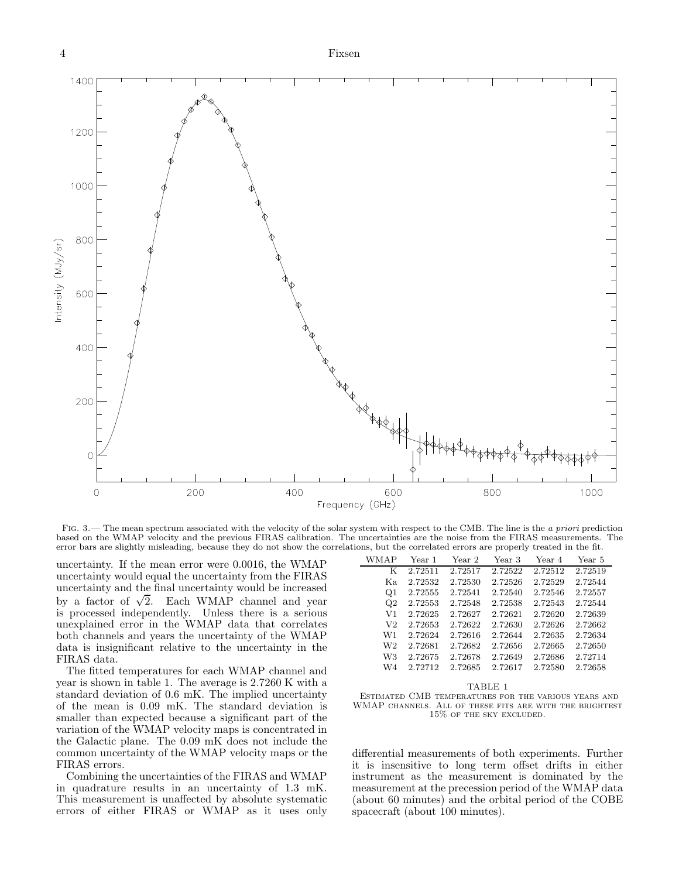

<span id="page-3-0"></span>FIG. 3.— The mean spectrum associated with the velocity of the solar system with respect to the CMB. The line is the a priori prediction based on the WMAP velocity and the previous FIRAS calibration. The uncertainties are the noise from the FIRAS measurements. The error bars are slightly misleading, because they do not show the correlations, but the correlated errors are properly treated in the fit.

uncertainty. If the mean error were 0.0016, the WMAP uncertainty would equal the uncertainty from the FIRAS uncertainty and the final uncertainty would be increased by a factor of  $\sqrt{2}$ . Each WMAP channel and year is processed independently. Unless there is a serious unexplained error in the WMAP data that correlates both channels and years the uncertainty of the WMAP data is insignificant relative to the uncertainty in the FIRAS data.

The fitted temperatures for each WMAP channel and year is shown in table 1. The average is 2.7260 K with a standard deviation of 0.6 mK. The implied uncertainty of the mean is 0.09 mK. The standard deviation is smaller than expected because a significant part of the variation of the WMAP velocity maps is concentrated in the Galactic plane. The 0.09 mK does not include the common uncertainty of the WMAP velocity maps or the FIRAS errors.

Combining the uncertainties of the FIRAS and WMAP in quadrature results in an uncertainty of 1.3 mK. This measurement is unaffected by absolute systematic errors of either FIRAS or WMAP as it uses only

| WMAP           | Year 1  | Year 2  | Year 3  | Year 4  | Year 5  |
|----------------|---------|---------|---------|---------|---------|
| К              | 2.72511 | 2.72517 | 2.72522 | 2.72512 | 2.72519 |
| Kа.            | 2.72532 | 2.72530 | 2.72526 | 2.72529 | 2.72544 |
| Q <sub>1</sub> | 2.72555 | 2.72541 | 2.72540 | 2.72546 | 2.72557 |
| $\rm{O}2$      | 2.72553 | 2.72548 | 2.72538 | 2.72543 | 2.72544 |
| V1             | 2.72625 | 2.72627 | 2.72621 | 2.72620 | 2.72639 |
| V <sub>2</sub> | 2.72653 | 2.72622 | 2.72630 | 2.72626 | 2.72662 |
| W1             | 2.72624 | 2.72616 | 2.72644 | 2.72635 | 2.72634 |
| W2             | 2.72681 | 2.72682 | 2.72656 | 2.72665 | 2.72650 |
| W3             | 2.72675 | 2.72678 | 2.72649 | 2.72686 | 2.72714 |
| W4             | 2.72712 | 2.72685 | 2.72617 | 2.72580 | 2.72658 |
|                |         |         |         |         |         |

TABLE 1 Estimated CMB temperatures for the various years and WMAP channels. All of these fits are with the brightest 15% of the sky excluded.

differential measurements of both experiments. Further it is insensitive to long term offset drifts in either instrument as the measurement is dominated by the measurement at the precession period of the WMAP data (about 60 minutes) and the orbital period of the COBE spacecraft (about 100 minutes).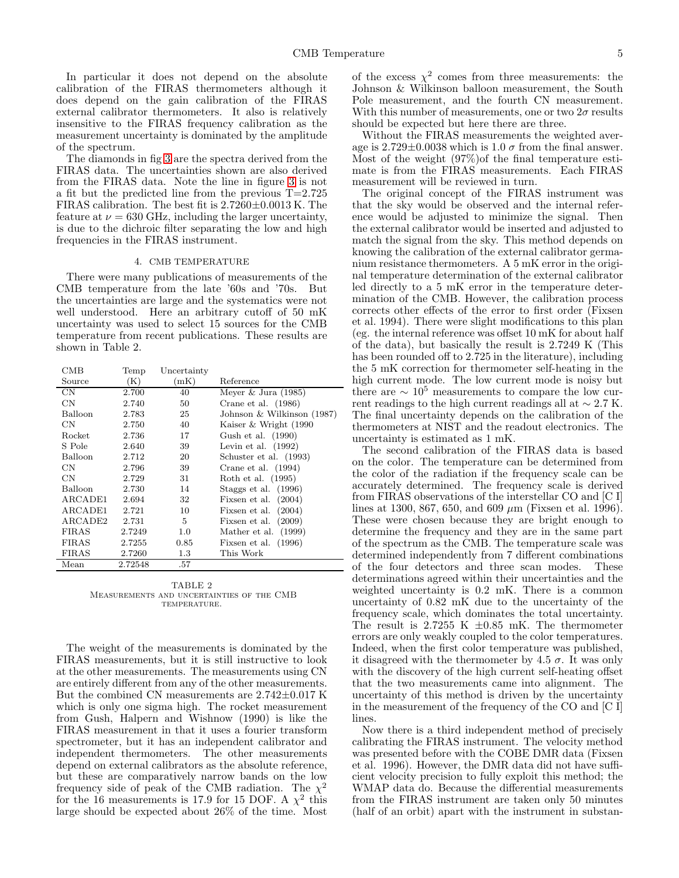In particular it does not depend on the absolute calibration of the FIRAS thermometers although it does depend on the gain calibration of the FIRAS external calibrator thermometers. It also is relatively insensitive to the FIRAS frequency calibration as the measurement uncertainty is dominated by the amplitude of the spectrum.

The diamonds in fig [3](#page-3-0) are the spectra derived from the FIRAS data. The uncertainties shown are also derived from the FIRAS data. Note the line in figure [3](#page-3-0) is not a fit but the predicted line from the previous T=2.725 FIRAS calibration. The best fit is 2.7260±0.0013 K. The feature at  $\nu = 630$  GHz, including the larger uncertainty, is due to the dichroic filter separating the low and high frequencies in the FIRAS instrument.

### 4. CMB TEMPERATURE

There were many publications of measurements of the CMB temperature from the late '60s and '70s. But the uncertainties are large and the systematics were not well understood. Here an arbitrary cutoff of 50 mK uncertainty was used to select 15 sources for the CMB temperature from recent publications. These results are shown in Table 2.

CMB Temp Uncertainty

| Source         | (K)     | (mK)    | Reference                  |
|----------------|---------|---------|----------------------------|
| CN             | 2.700   | 40      | Meyer & Jura $(1985)$      |
| $\rm CN$       | 2.740   | 50      | Crane et al. $(1986)$      |
| Balloon        | 2.783   | 25      | Johnson & Wilkinson (1987) |
| CN.            | 2.750   | 40      | Kaiser & Wright (1990)     |
| Rocket         | 2.736   | 17      | Gush et al. (1990)         |
| S Pole         | 2.640   | 39      | Levin et al. $(1992)$      |
| Balloon        | 2.712   | 20      | Schuster et al. (1993)     |
| CN.            | 2.796   | 39      | Crane et al. $(1994)$      |
| $\rm CN$       | 2.729   | 31      | Roth et al. (1995)         |
| <b>Balloon</b> | 2.730   | 14      | Staggs et al. $(1996)$     |
| ARCADE1        | 2.694   | 32      | Fixsen et al. $(2004)$     |
| ARCADE1        | 2.721   | 10      | Fixsen et al. $(2004)$     |
| ARCADE2        | 2.731   | 5       | Fixsen et al. $(2009)$     |
| FIRAS          | 2.7249  | 1.0     | Mather et al. (1999)       |
| FIRAS          | 2.7255  | 0.85    | Fixsen et al. $(1996)$     |
| FIRAS          | 2.7260  | $1.3\,$ | This Work                  |
| Mean           | 2.72548 | .57     |                            |

TABLE 2 Measurements and uncertainties of the CMB TEMPERATURE.

The weight of the measurements is dominated by the FIRAS measurements, but it is still instructive to look at the other measurements. The measurements using CN are entirely different from any of the other measurements. But the combined CN measurements are 2.742±0.017 K which is only one sigma high. The rocket measurement from Gush, Halpern and Wishnow (1990) is like the FIRAS measurement in that it uses a fourier transform spectrometer, but it has an independent calibrator and independent thermometers. The other measurements depend on external calibrators as the absolute reference, but these are comparatively narrow bands on the low frequency side of peak of the CMB radiation. The  $\chi^2$ for the 16 measurements is 17.9 for 15 DOF. A  $\chi^2$  this large should be expected about 26% of the time. Most

of the excess  $\chi^2$  comes from three measurements: the Johnson & Wilkinson balloon measurement, the South Pole measurement, and the fourth CN measurement. With this number of measurements, one or two  $2\sigma$  results should be expected but here there are three.

Without the FIRAS measurements the weighted average is  $2.729\pm0.0038$  which is  $1.0 \sigma$  from the final answer. Most of the weight (97%)of the final temperature estimate is from the FIRAS measurements. Each FIRAS measurement will be reviewed in turn.

The original concept of the FIRAS instrument was that the sky would be observed and the internal reference would be adjusted to minimize the signal. Then the external calibrator would be inserted and adjusted to match the signal from the sky. This method depends on knowing the calibration of the external calibrator germanium resistance thermometers. A 5 mK error in the original temperature determination of the external calibrator led directly to a 5 mK error in the temperature determination of the CMB. However, the calibration process corrects other effects of the error to first order (Fixsen et al. 1994). There were slight modifications to this plan (eg. the internal reference was offset 10 mK for about half of the data), but basically the result is 2.7249 K (This has been rounded off to 2.725 in the literature), including the 5 mK correction for thermometer self-heating in the high current mode. The low current mode is noisy but there are  $\sim 10^5$  measurements to compare the low current readings to the high current readings all at ∼ 2.7 K. The final uncertainty depends on the calibration of the thermometers at NIST and the readout electronics. The uncertainty is estimated as 1 mK.

The second calibration of the FIRAS data is based on the color. The temperature can be determined from the color of the radiation if the frequency scale can be accurately determined. The frequency scale is derived from FIRAS observations of the interstellar CO and [C I] lines at 1300, 867, 650, and 609  $\mu$ m (Fixsen et al. 1996). These were chosen because they are bright enough to determine the frequency and they are in the same part of the spectrum as the CMB. The temperature scale was determined independently from 7 different combinations of the four detectors and three scan modes. These determinations agreed within their uncertainties and the weighted uncertainty is 0.2 mK. There is a common uncertainty of 0.82 mK due to the uncertainty of the frequency scale, which dominates the total uncertainty. The result is 2.7255 K  $\pm 0.85$  mK. The thermometer errors are only weakly coupled to the color temperatures. Indeed, when the first color temperature was published, it disagreed with the thermometer by 4.5  $\sigma$ . It was only with the discovery of the high current self-heating offset that the two measurements came into alignment. The uncertainty of this method is driven by the uncertainty in the measurement of the frequency of the CO and [C I] lines.

Now there is a third independent method of precisely calibrating the FIRAS instrument. The velocity method was presented before with the COBE DMR data (Fixsen et al. 1996). However, the DMR data did not have sufficient velocity precision to fully exploit this method; the WMAP data do. Because the differential measurements from the FIRAS instrument are taken only 50 minutes (half of an orbit) apart with the instrument in substan